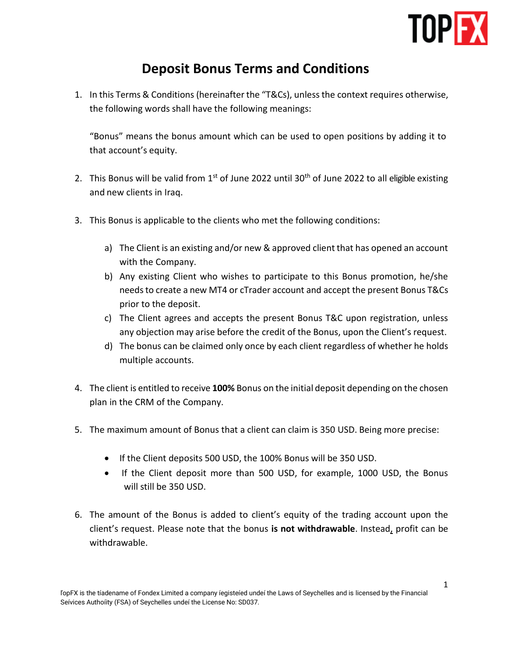

## **Deposit Bonus Terms and Conditions**

1. In this Terms & Conditions (hereinafter the "T&Cs), unlessthe context requires otherwise, the following words shall have the following meanings:

"Bonus" means the bonus amount which can be used to open positions by adding it to that account's equity.

- 2. This Bonus will be valid from  $1<sup>st</sup>$  of June 2022 until 30<sup>th</sup> of June 2022 to all eligible existing and new clients in Iraq.
- 3. This Bonus is applicable to the clients who met the following conditions:
	- a) The Client is an existing and/or new & approved client that has opened an account with the Company.
	- b) Any existing Client who wishes to participate to this Bonus promotion, he/she needs to create a new MT4 or cTrader account and accept the present Bonus T&Cs prior to the deposit.
	- c) The Client agrees and accepts the present Bonus T&C upon registration, unless any objection may arise before the credit of the Bonus, upon the Client's request.
	- d) The bonus can be claimed only once by each client regardless of whether he holds multiple accounts.
- 4. The client is entitled to receive **100%** Bonus on the initial deposit depending on the chosen plan in the CRM of the Company.
- 5. The maximum amount of Bonus that a client can claim is 350 USD. Being more precise:
	- If the Client deposits 500 USD, the 100% Bonus will be 350 USD.
	- If the Client deposit more than 500 USD, for example, 1000 USD, the Bonus will still be 350 USD.
- 6. The amount of the Bonus is added to client's equity of the trading account upon the client's request. Please note that the bonus **is not withdrawable**. Instead, profit can be withdrawable.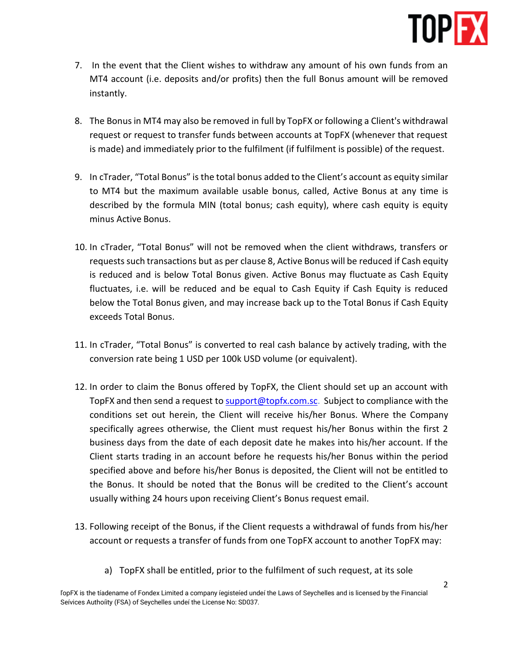

- 7. In the event that the Client wishes to withdraw any amount of his own funds from an MT4 account (i.e. deposits and/or profits) then the full Bonus amount will be removed instantly.
- 8. The Bonus in MT4 may also be removed in full by TopFX or following a Client's withdrawal request or request to transfer funds between accounts at TopFX (whenever that request is made) and immediately prior to the fulfilment (if fulfilment is possible) of the request.
- 9. In cTrader, "Total Bonus" is the total bonus added to the Client's account as equity similar to MT4 but the maximum available usable bonus, called, Active Bonus at any time is described by the formula MIN (total bonus; cash equity), where cash equity is equity minus Active Bonus.
- 10. In cTrader, "Total Bonus" will not be removed when the client withdraws, transfers or requests such transactions but as per clause 8, Active Bonus will be reduced if Cash equity is reduced and is below Total Bonus given. Active Bonus may fluctuate as Cash Equity fluctuates, i.e. will be reduced and be equal to Cash Equity if Cash Equity is reduced below the Total Bonus given, and may increase back up to the Total Bonus if Cash Equity exceeds Total Bonus.
- 11. In cTrader, "Total Bonus" is converted to real cash balance by actively trading, with the conversion rate being 1 USD per 100k USD volume (or equivalent).
- 12. In order to claim the Bonus offered by TopFX, the Client should set up an account with TopFX and then send a request to [support@topfx.com.sc.](mailto:support@topfx.com.sc) Subject to compliance with the conditions set out herein, the Client will receive his/her Bonus. Where the Company specifically agrees otherwise, the Client must request his/her Bonus within the first 2 business days from the date of each deposit date he makes into his/her account. If the Client starts trading in an account before he requests his/her Bonus within the period specified above and before his/her Bonus is deposited, the Client will not be entitled to the Bonus. It should be noted that the Bonus will be credited to the Client's account usually withing 24 hours upon receiving Client's Bonus request email.
- 13. Following receipt of the Bonus, if the Client requests a withdrawal of funds from his/her account or requests a transfer of funds from one TopFX account to another TopFX may:
	- a) TopFX shall be entitled, prior to the fulfilment of such request, at its sole

ľopFX is the tíadename of Fondex Limited a company íegisteíed undeí the Laws of Seychelles and is licensed by the Financial Seívices Authoíity (FSA) of Seychelles undeí the License No: SD037.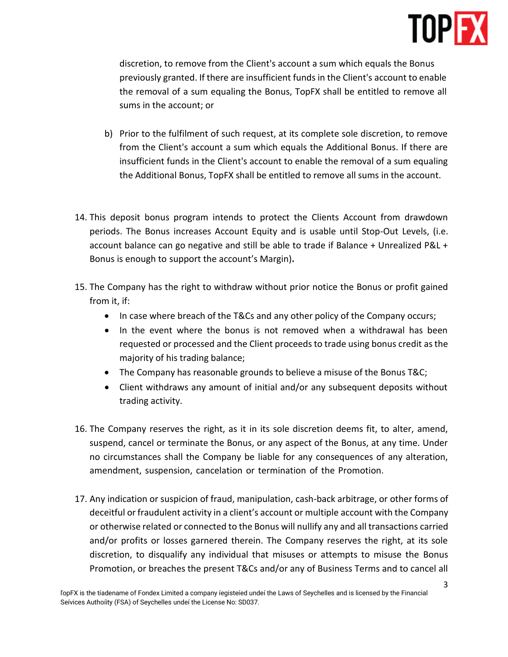

discretion, to remove from the Client's account a sum which equals the Bonus previously granted. If there are insufficient funds in the Client's account to enable the removal of a sum equaling the Bonus, TopFX shall be entitled to remove all sums in the account; or

- b) Prior to the fulfilment of such request, at its complete sole discretion, to remove from the Client's account a sum which equals the Additional Bonus. If there are insufficient funds in the Client's account to enable the removal of a sum equaling the Additional Bonus, TopFX shall be entitled to remove all sums in the account.
- 14. This deposit bonus program intends to protect the Clients Account from drawdown periods. The Bonus increases Account Equity and is usable until Stop-Out Levels, (i.e. account balance can go negative and still be able to trade if Balance + Unrealized P&L + Bonus is enough to support the account's Margin)**.**
- 15. The Company has the right to withdraw without prior notice the Bonus or profit gained from it, if:
	- In case where breach of the T&Cs and any other policy of the Company occurs;
	- In the event where the bonus is not removed when a withdrawal has been requested or processed and the Client proceedsto trade using bonus credit asthe majority of his trading balance;
	- The Company has reasonable grounds to believe a misuse of the Bonus T&C;
	- Client withdraws any amount of initial and/or any subsequent deposits without trading activity.
- 16. The Company reserves the right, as it in its sole discretion deems fit, to alter, amend, suspend, cancel or terminate the Bonus, or any aspect of the Bonus, at any time. Under no circumstances shall the Company be liable for any consequences of any alteration, amendment, suspension, cancelation or termination of the Promotion.
- 17. Any indication or suspicion of fraud, manipulation, cash-back arbitrage, or other forms of deceitful or fraudulent activity in a client's account or multiple account with the Company or otherwise related or connected to the Bonus will nullify any and all transactions carried and/or profits or losses garnered therein. The Company reserves the right, at its sole discretion, to disqualify any individual that misuses or attempts to misuse the Bonus Promotion, or breaches the present T&Cs and/or any of Business Terms and to cancel all